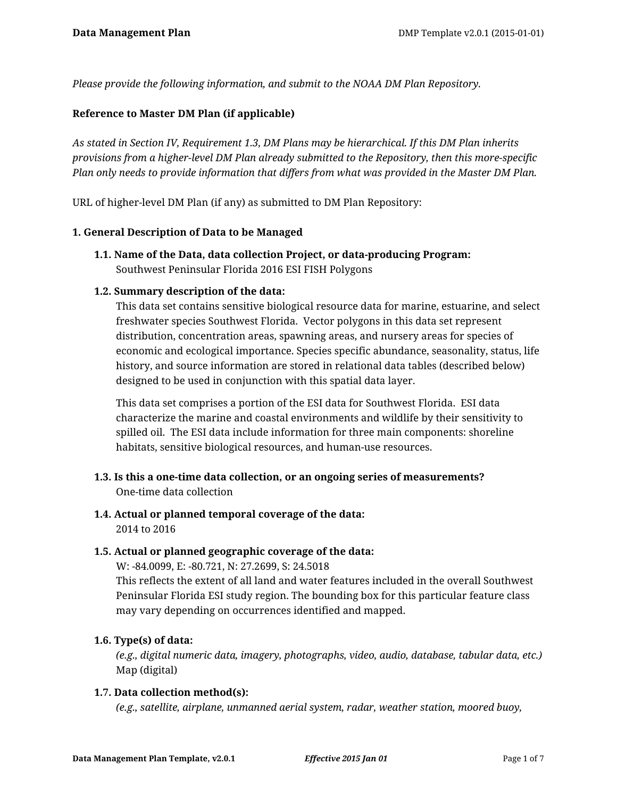*Please provide the following information, and submit to the NOAA DM Plan Repository.*

### **Reference to Master DM Plan (if applicable)**

*As stated in Section IV, Requirement 1.3, DM Plans may be hierarchical. If this DM Plan inherits provisions from a higher-level DM Plan already submitted to the Repository, then this more-specific Plan only needs to provide information that differs from what was provided in the Master DM Plan.*

URL of higher-level DM Plan (if any) as submitted to DM Plan Repository:

#### **1. General Description of Data to be Managed**

**1.1. Name of the Data, data collection Project, or data-producing Program:** Southwest Peninsular Florida 2016 ESI FISH Polygons

#### **1.2. Summary description of the data:**

This data set contains sensitive biological resource data for marine, estuarine, and select freshwater species Southwest Florida. Vector polygons in this data set represent distribution, concentration areas, spawning areas, and nursery areas for species of economic and ecological importance. Species specific abundance, seasonality, status, life history, and source information are stored in relational data tables (described below) designed to be used in conjunction with this spatial data layer.

This data set comprises a portion of the ESI data for Southwest Florida. ESI data characterize the marine and coastal environments and wildlife by their sensitivity to spilled oil. The ESI data include information for three main components: shoreline habitats, sensitive biological resources, and human-use resources.

- **1.3. Is this a one-time data collection, or an ongoing series of measurements?** One-time data collection
- **1.4. Actual or planned temporal coverage of the data:** 2014 to 2016

### **1.5. Actual or planned geographic coverage of the data:**

W: -84.0099, E: -80.721, N: 27.2699, S: 24.5018 This reflects the extent of all land and water features included in the overall Southwest Peninsular Florida ESI study region. The bounding box for this particular feature class may vary depending on occurrences identified and mapped.

### **1.6. Type(s) of data:**

*(e.g., digital numeric data, imagery, photographs, video, audio, database, tabular data, etc.)* Map (digital)

#### **1.7. Data collection method(s):**

*(e.g., satellite, airplane, unmanned aerial system, radar, weather station, moored buoy,*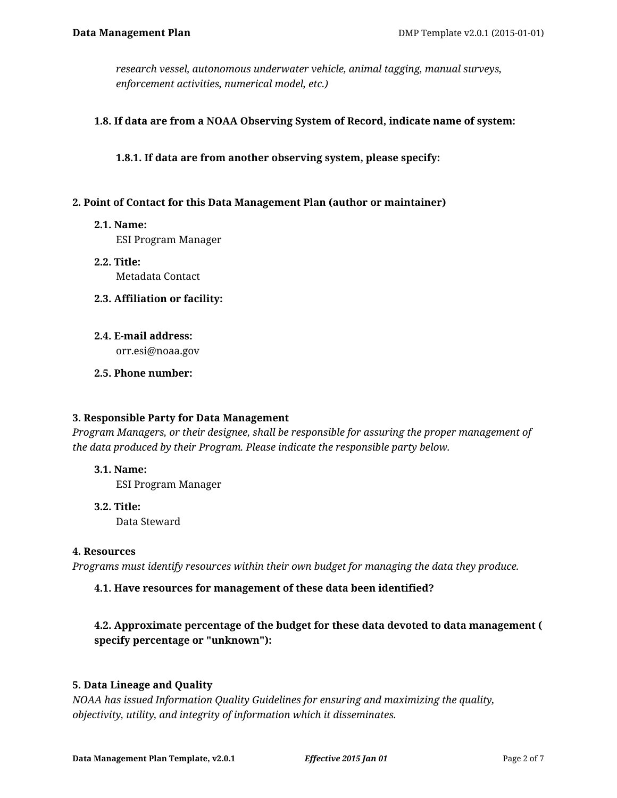*research vessel, autonomous underwater vehicle, animal tagging, manual surveys, enforcement activities, numerical model, etc.)*

#### **1.8. If data are from a NOAA Observing System of Record, indicate name of system:**

**1.8.1. If data are from another observing system, please specify:**

#### **2. Point of Contact for this Data Management Plan (author or maintainer)**

**2.1. Name:**

ESI Program Manager

- **2.2. Title:** Metadata Contact
- **2.3. Affiliation or facility:**
- **2.4. E-mail address:**

orr.esi@noaa.gov

**2.5. Phone number:**

#### **3. Responsible Party for Data Management**

*Program Managers, or their designee, shall be responsible for assuring the proper management of the data produced by their Program. Please indicate the responsible party below.*

**3.1. Name:**

ESI Program Manager

**3.2. Title:**

Data Steward

#### **4. Resources**

*Programs must identify resources within their own budget for managing the data they produce.*

### **4.1. Have resources for management of these data been identified?**

# **4.2. Approximate percentage of the budget for these data devoted to data management ( specify percentage or "unknown"):**

### **5. Data Lineage and Quality**

*NOAA has issued Information Quality Guidelines for ensuring and maximizing the quality, objectivity, utility, and integrity of information which it disseminates.*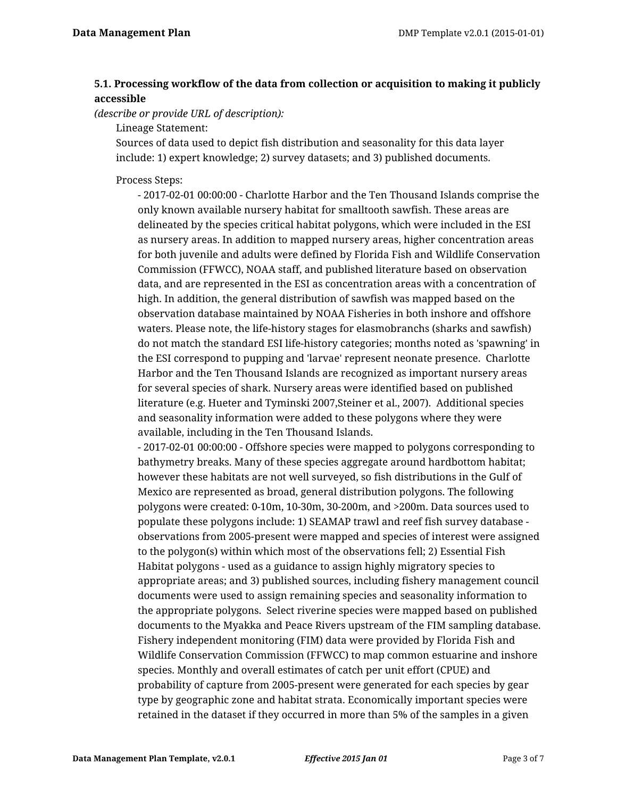# **5.1. Processing workflow of the data from collection or acquisition to making it publicly accessible**

*(describe or provide URL of description):*

Lineage Statement:

Sources of data used to depict fish distribution and seasonality for this data layer include: 1) expert knowledge; 2) survey datasets; and 3) published documents.

Process Steps:

- 2017-02-01 00:00:00 - Charlotte Harbor and the Ten Thousand Islands comprise the only known available nursery habitat for smalltooth sawfish. These areas are delineated by the species critical habitat polygons, which were included in the ESI as nursery areas. In addition to mapped nursery areas, higher concentration areas for both juvenile and adults were defined by Florida Fish and Wildlife Conservation Commission (FFWCC), NOAA staff, and published literature based on observation data, and are represented in the ESI as concentration areas with a concentration of high. In addition, the general distribution of sawfish was mapped based on the observation database maintained by NOAA Fisheries in both inshore and offshore waters. Please note, the life-history stages for elasmobranchs (sharks and sawfish) do not match the standard ESI life-history categories; months noted as 'spawning' in the ESI correspond to pupping and 'larvae' represent neonate presence. Charlotte Harbor and the Ten Thousand Islands are recognized as important nursery areas for several species of shark. Nursery areas were identified based on published literature (e.g. Hueter and Tyminski 2007,Steiner et al., 2007). Additional species and seasonality information were added to these polygons where they were available, including in the Ten Thousand Islands.

- 2017-02-01 00:00:00 - Offshore species were mapped to polygons corresponding to bathymetry breaks. Many of these species aggregate around hardbottom habitat; however these habitats are not well surveyed, so fish distributions in the Gulf of Mexico are represented as broad, general distribution polygons. The following polygons were created: 0-10m, 10-30m, 30-200m, and >200m. Data sources used to populate these polygons include: 1) SEAMAP trawl and reef fish survey database observations from 2005-present were mapped and species of interest were assigned to the polygon(s) within which most of the observations fell; 2) Essential Fish Habitat polygons - used as a guidance to assign highly migratory species to appropriate areas; and 3) published sources, including fishery management council documents were used to assign remaining species and seasonality information to the appropriate polygons. Select riverine species were mapped based on published documents to the Myakka and Peace Rivers upstream of the FIM sampling database. Fishery independent monitoring (FIM) data were provided by Florida Fish and Wildlife Conservation Commission (FFWCC) to map common estuarine and inshore species. Monthly and overall estimates of catch per unit effort (CPUE) and probability of capture from 2005-present were generated for each species by gear type by geographic zone and habitat strata. Economically important species were retained in the dataset if they occurred in more than 5% of the samples in a given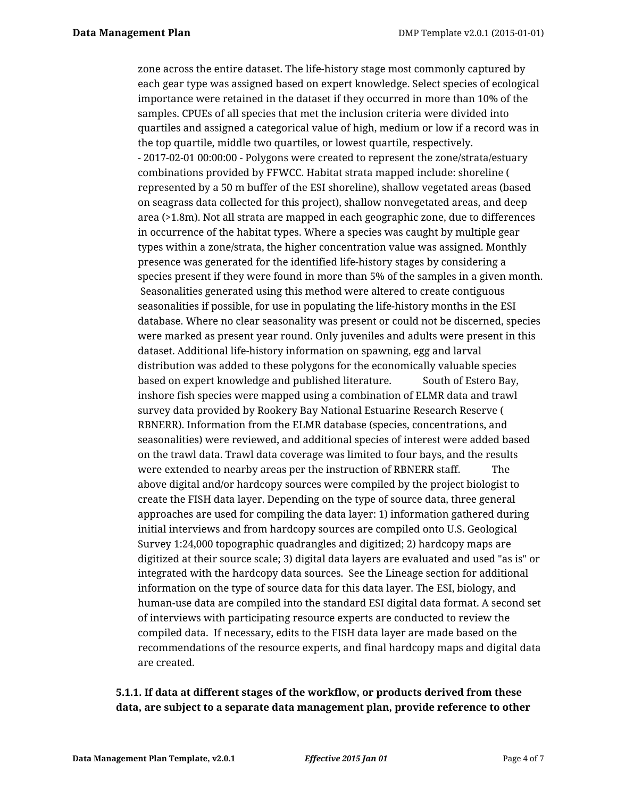zone across the entire dataset. The life-history stage most commonly captured by each gear type was assigned based on expert knowledge. Select species of ecological importance were retained in the dataset if they occurred in more than 10% of the samples. CPUEs of all species that met the inclusion criteria were divided into quartiles and assigned a categorical value of high, medium or low if a record was in the top quartile, middle two quartiles, or lowest quartile, respectively. - 2017-02-01 00:00:00 - Polygons were created to represent the zone/strata/estuary combinations provided by FFWCC. Habitat strata mapped include: shoreline ( represented by a 50 m buffer of the ESI shoreline), shallow vegetated areas (based on seagrass data collected for this project), shallow nonvegetated areas, and deep area (>1.8m). Not all strata are mapped in each geographic zone, due to differences in occurrence of the habitat types. Where a species was caught by multiple gear types within a zone/strata, the higher concentration value was assigned. Monthly presence was generated for the identified life-history stages by considering a species present if they were found in more than 5% of the samples in a given month. Seasonalities generated using this method were altered to create contiguous seasonalities if possible, for use in populating the life-history months in the ESI database. Where no clear seasonality was present or could not be discerned, species were marked as present year round. Only juveniles and adults were present in this dataset. Additional life-history information on spawning, egg and larval distribution was added to these polygons for the economically valuable species based on expert knowledge and published literature. South of Estero Bay, inshore fish species were mapped using a combination of ELMR data and trawl survey data provided by Rookery Bay National Estuarine Research Reserve ( RBNERR). Information from the ELMR database (species, concentrations, and seasonalities) were reviewed, and additional species of interest were added based on the trawl data. Trawl data coverage was limited to four bays, and the results were extended to nearby areas per the instruction of RBNERR staff. The above digital and/or hardcopy sources were compiled by the project biologist to create the FISH data layer. Depending on the type of source data, three general approaches are used for compiling the data layer: 1) information gathered during initial interviews and from hardcopy sources are compiled onto U.S. Geological Survey 1:24,000 topographic quadrangles and digitized; 2) hardcopy maps are digitized at their source scale; 3) digital data layers are evaluated and used "as is" or integrated with the hardcopy data sources. See the Lineage section for additional information on the type of source data for this data layer. The ESI, biology, and human-use data are compiled into the standard ESI digital data format. A second set of interviews with participating resource experts are conducted to review the compiled data. If necessary, edits to the FISH data layer are made based on the recommendations of the resource experts, and final hardcopy maps and digital data are created.

# **5.1.1. If data at different stages of the workflow, or products derived from these data, are subject to a separate data management plan, provide reference to other**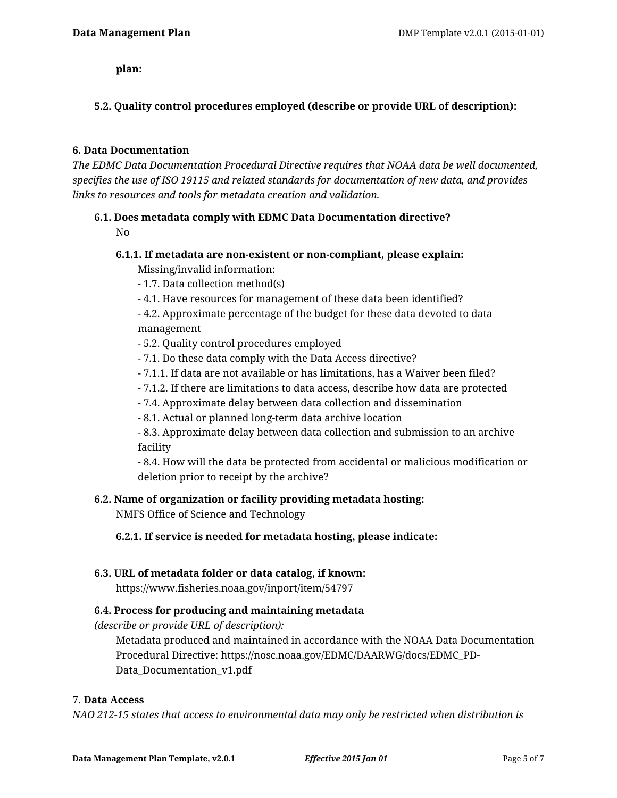**plan:**

# **5.2. Quality control procedures employed (describe or provide URL of description):**

#### **6. Data Documentation**

*The EDMC Data Documentation Procedural Directive requires that NOAA data be well documented, specifies the use of ISO 19115 and related standards for documentation of new data, and provides links to resources and tools for metadata creation and validation.*

#### **6.1. Does metadata comply with EDMC Data Documentation directive?**

No

#### **6.1.1. If metadata are non-existent or non-compliant, please explain:** Missing/invalid information:

- 1.7. Data collection method(s)
- 4.1. Have resources for management of these data been identified?
- 4.2. Approximate percentage of the budget for these data devoted to data management
- 5.2. Quality control procedures employed
- 7.1. Do these data comply with the Data Access directive?
- 7.1.1. If data are not available or has limitations, has a Waiver been filed?
- 7.1.2. If there are limitations to data access, describe how data are protected
- 7.4. Approximate delay between data collection and dissemination
- 8.1. Actual or planned long-term data archive location

- 8.3. Approximate delay between data collection and submission to an archive facility

- 8.4. How will the data be protected from accidental or malicious modification or deletion prior to receipt by the archive?

### **6.2. Name of organization or facility providing metadata hosting:**

NMFS Office of Science and Technology

### **6.2.1. If service is needed for metadata hosting, please indicate:**

### **6.3. URL of metadata folder or data catalog, if known:**

https://www.fisheries.noaa.gov/inport/item/54797

### **6.4. Process for producing and maintaining metadata**

*(describe or provide URL of description):*

Metadata produced and maintained in accordance with the NOAA Data Documentation Procedural Directive: https://nosc.noaa.gov/EDMC/DAARWG/docs/EDMC\_PD-Data\_Documentation\_v1.pdf

#### **7. Data Access**

*NAO 212-15 states that access to environmental data may only be restricted when distribution is*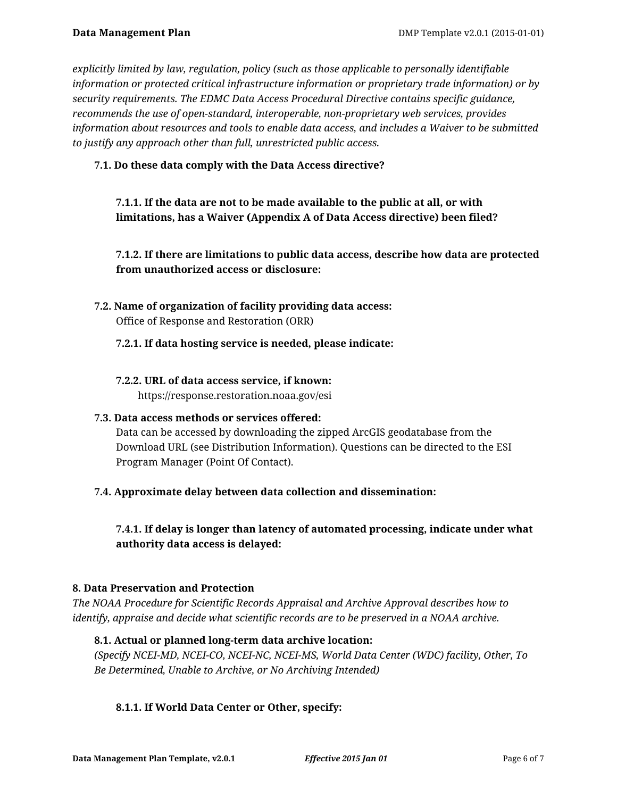*explicitly limited by law, regulation, policy (such as those applicable to personally identifiable information or protected critical infrastructure information or proprietary trade information) or by security requirements. The EDMC Data Access Procedural Directive contains specific guidance, recommends the use of open-standard, interoperable, non-proprietary web services, provides information about resources and tools to enable data access, and includes a Waiver to be submitted to justify any approach other than full, unrestricted public access.*

### **7.1. Do these data comply with the Data Access directive?**

# **7.1.1. If the data are not to be made available to the public at all, or with limitations, has a Waiver (Appendix A of Data Access directive) been filed?**

# **7.1.2. If there are limitations to public data access, describe how data are protected from unauthorized access or disclosure:**

**7.2. Name of organization of facility providing data access:** Office of Response and Restoration (ORR)

#### **7.2.1. If data hosting service is needed, please indicate:**

#### **7.2.2. URL of data access service, if known:** https://response.restoration.noaa.gov/esi

# **7.3. Data access methods or services offered:**

Data can be accessed by downloading the zipped ArcGIS geodatabase from the Download URL (see Distribution Information). Questions can be directed to the ESI Program Manager (Point Of Contact).

### **7.4. Approximate delay between data collection and dissemination:**

**7.4.1. If delay is longer than latency of automated processing, indicate under what authority data access is delayed:**

#### **8. Data Preservation and Protection**

*The NOAA Procedure for Scientific Records Appraisal and Archive Approval describes how to identify, appraise and decide what scientific records are to be preserved in a NOAA archive.*

### **8.1. Actual or planned long-term data archive location:**

*(Specify NCEI-MD, NCEI-CO, NCEI-NC, NCEI-MS, World Data Center (WDC) facility, Other, To Be Determined, Unable to Archive, or No Archiving Intended)*

### **8.1.1. If World Data Center or Other, specify:**